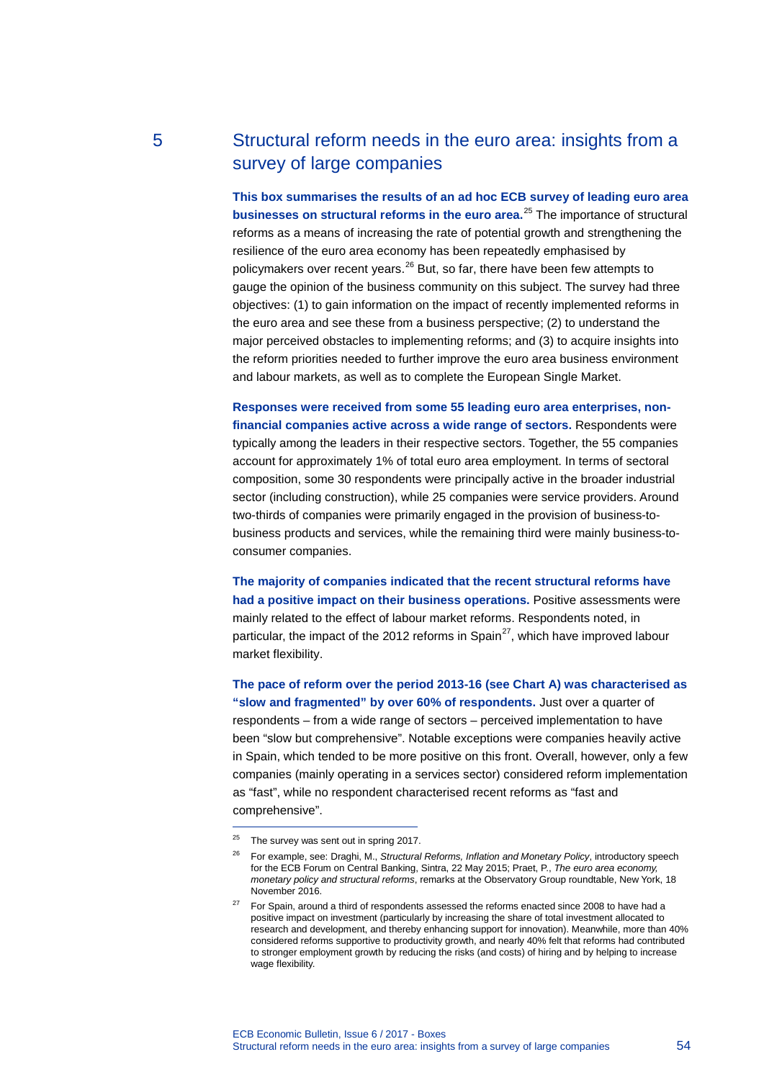# 5 Structural reform needs in the euro area: insights from a survey of large companies

**This box summarises the results of an ad hoc ECB survey of leading euro area businesses on structural reforms in the euro area.**[25](#page-0-0) The importance of structural reforms as a means of increasing the rate of potential growth and strengthening the resilience of the euro area economy has been repeatedly emphasised by policymakers over recent years.<sup>[26](#page-0-1)</sup> But, so far, there have been few attempts to gauge the opinion of the business community on this subject. The survey had three objectives: (1) to gain information on the impact of recently implemented reforms in the euro area and see these from a business perspective; (2) to understand the major perceived obstacles to implementing reforms; and (3) to acquire insights into the reform priorities needed to further improve the euro area business environment and labour markets, as well as to complete the European Single Market.

**Responses were received from some 55 leading euro area enterprises, nonfinancial companies active across a wide range of sectors.** Respondents were typically among the leaders in their respective sectors. Together, the 55 companies account for approximately 1% of total euro area employment. In terms of sectoral composition, some 30 respondents were principally active in the broader industrial sector (including construction), while 25 companies were service providers. Around two-thirds of companies were primarily engaged in the provision of business-tobusiness products and services, while the remaining third were mainly business-toconsumer companies.

**The majority of companies indicated that the recent structural reforms have had a positive impact on their business operations.** Positive assessments were mainly related to the effect of labour market reforms. Respondents noted, in particular, the impact of the 2012 reforms in Spain<sup>[27](#page-0-2)</sup>, which have improved labour market flexibility.

**The pace of reform over the period 2013-16 (see Chart A) was characterised as "slow and fragmented" by over 60% of respondents.** Just over a quarter of respondents – from a wide range of sectors – perceived implementation to have been "slow but comprehensive". Notable exceptions were companies heavily active in Spain, which tended to be more positive on this front. Overall, however, only a few companies (mainly operating in a services sector) considered reform implementation as "fast", while no respondent characterised recent reforms as "fast and comprehensive".

-

<span id="page-0-0"></span> $25$  The survey was sent out in spring 2017.

<span id="page-0-1"></span><sup>26</sup> For example, see: Draghi, M., *Structural Reforms, Inflation and Monetary Policy*, introductory speech for the ECB Forum on Central Banking, Sintra, 22 May 2015; Praet, P., *The euro area economy, monetary policy and structural reforms*, remarks at the Observatory Group roundtable, New York, 18 November 2016.

<span id="page-0-2"></span> $27$  For Spain, around a third of respondents assessed the reforms enacted since 2008 to have had a positive impact on investment (particularly by increasing the share of total investment allocated to research and development, and thereby enhancing support for innovation). Meanwhile, more than 40% considered reforms supportive to productivity growth, and nearly 40% felt that reforms had contributed to stronger employment growth by reducing the risks (and costs) of hiring and by helping to increase wage flexibility.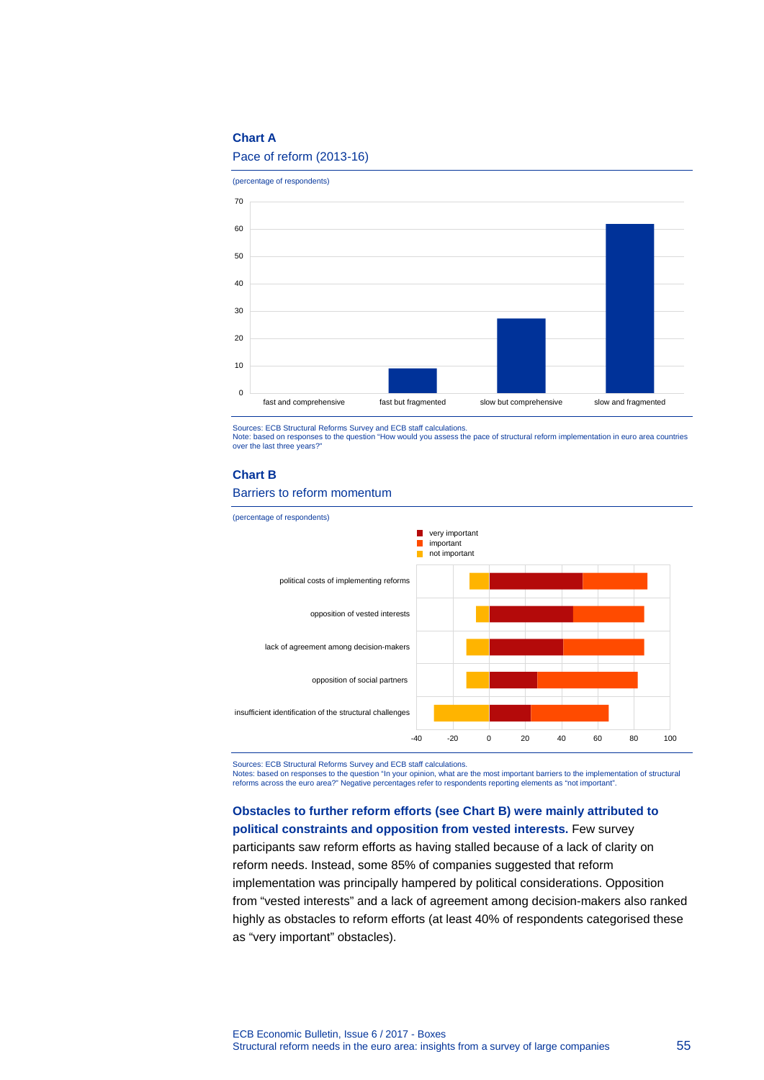# **Chart A**

# Pace of reform (2013-16)

(percentage of respondents)



Sources: ECB Structural Reforms Survey and ECB staff calculations.

Note: based on responses to the question "How would you assess the pace of structural reform implementation in euro area countries over the last three years?"

### **Chart B**

### Barriers to reform momentum



Sources: ECB Structural Reforms Survey and ECB staff calculations.

Notes: based on responses to the question "In your opinion, what are the most important barriers to the implementation of structural reforms across the euro area?" Negative percentages refer to respondents reporting elements as "not important".

**Obstacles to further reform efforts (see Chart B) were mainly attributed to political constraints and opposition from vested interests.** Few survey participants saw reform efforts as having stalled because of a lack of clarity on reform needs. Instead, some 85% of companies suggested that reform implementation was principally hampered by political considerations. Opposition from "vested interests" and a lack of agreement among decision-makers also ranked highly as obstacles to reform efforts (at least 40% of respondents categorised these as "very important" obstacles).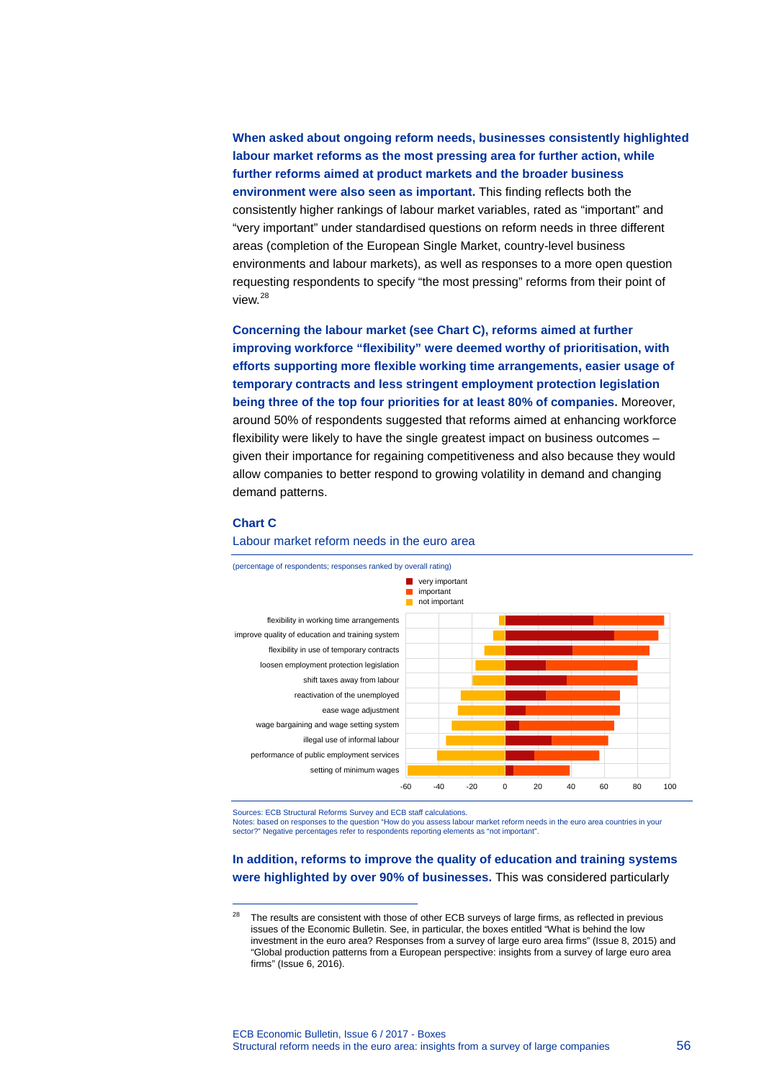**When asked about ongoing reform needs, businesses consistently highlighted labour market reforms as the most pressing area for further action, while further reforms aimed at product markets and the broader business environment were also seen as important.** This finding reflects both the consistently higher rankings of labour market variables, rated as "important" and "very important" under standardised questions on reform needs in three different areas (completion of the European Single Market, country-level business environments and labour markets), as well as responses to a more open question requesting respondents to specify "the most pressing" reforms from their point of view.[28](#page-2-0)

**Concerning the labour market (see Chart C), reforms aimed at further improving workforce "flexibility" were deemed worthy of prioritisation, with efforts supporting more flexible working time arrangements, easier usage of temporary contracts and less stringent employment protection legislation being three of the top four priorities for at least 80% of companies.** Moreover, around 50% of respondents suggested that reforms aimed at enhancing workforce flexibility were likely to have the single greatest impact on business outcomes – given their importance for regaining competitiveness and also because they would allow companies to better respond to growing volatility in demand and changing demand patterns.

#### **Chart C**

-

### (percentage of respondents; responses ranked by overall rating) flexibility in working time arrangements **very important** important not important



# Labour market reform needs in the euro area

Sources: ECB Structural Reforms Survey and ECB staff calculations.

Notes: based on responses to the question "How do you assess labour market reform needs in the euro area countries in your sector?" Negative percentages refer to respondents reporting elements as "not important".

# **In addition, reforms to improve the quality of education and training systems were highlighted by over 90% of businesses.** This was considered particularly

<span id="page-2-0"></span><sup>&</sup>lt;sup>28</sup> The results are consistent with those of other ECB surveys of large firms, as reflected in previous issues of the Economic Bulletin. See, in particular, the boxes entitled "What is behind the low investment in the euro area? Responses from a survey of large euro area firms" (Issue 8, 2015) and "Global production patterns from a European perspective: insights from a survey of large euro area firms" (Issue 6, 2016).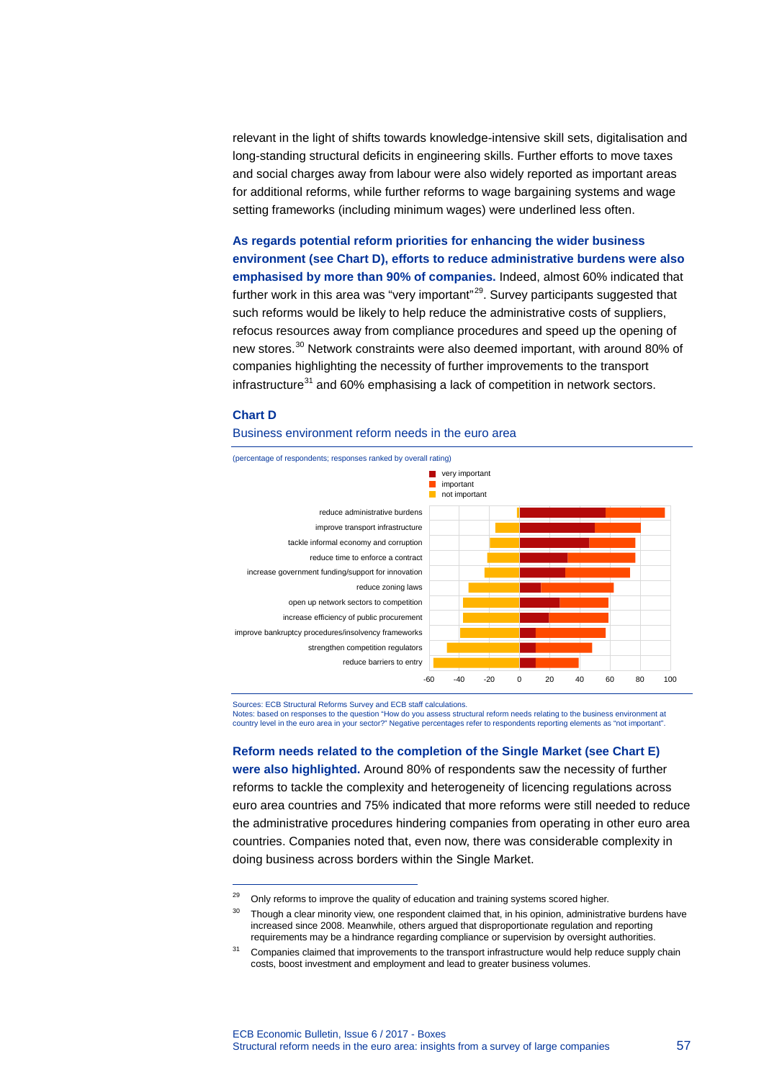relevant in the light of shifts towards knowledge-intensive skill sets, digitalisation and long-standing structural deficits in engineering skills. Further efforts to move taxes and social charges away from labour were also widely reported as important areas for additional reforms, while further reforms to wage bargaining systems and wage setting frameworks (including minimum wages) were underlined less often.

**As regards potential reform priorities for enhancing the wider business environment (see Chart D), efforts to reduce administrative burdens were also emphasised by more than 90% of companies.** Indeed, almost 60% indicated that further work in this area was "very important"<sup>29</sup>. Survey participants suggested that such reforms would be likely to help reduce the administrative costs of suppliers, refocus resources away from compliance procedures and speed up the opening of new stores.[30](#page-3-1) Network constraints were also deemed important, with around 80% of companies highlighting the necessity of further improvements to the transport  $infrastructure<sup>31</sup>$  $infrastructure<sup>31</sup>$  $infrastructure<sup>31</sup>$  and 60% emphasising a lack of competition in network sectors.

## **Chart D**

-

### Business environment reform needs in the euro area



Sources: ECB Structural Reforms Survey and ECB staff calculations.

Notes: based on responses to the question "How do you assess structural reform needs relating to the business environment at country level in the euro area in your sector?" Negative percentages refer to respondents reporting elements as "not important".

**Reform needs related to the completion of the Single Market (see Chart E) were also highlighted.** Around 80% of respondents saw the necessity of further reforms to tackle the complexity and heterogeneity of licencing regulations across euro area countries and 75% indicated that more reforms were still needed to reduce the administrative procedures hindering companies from operating in other euro area countries. Companies noted that, even now, there was considerable complexity in doing business across borders within the Single Market.

<span id="page-3-1"></span><span id="page-3-0"></span><sup>&</sup>lt;sup>29</sup> Only reforms to improve the quality of education and training systems scored higher.

<sup>&</sup>lt;sup>30</sup> Though a clear minority view, one respondent claimed that, in his opinion, administrative burdens have increased since 2008. Meanwhile, others argued that disproportionate regulation and reporting requirements may be a hindrance regarding compliance or supervision by oversight authorities.

<span id="page-3-2"></span><sup>&</sup>lt;sup>31</sup> Companies claimed that improvements to the transport infrastructure would help reduce supply chain costs, boost investment and employment and lead to greater business volumes.